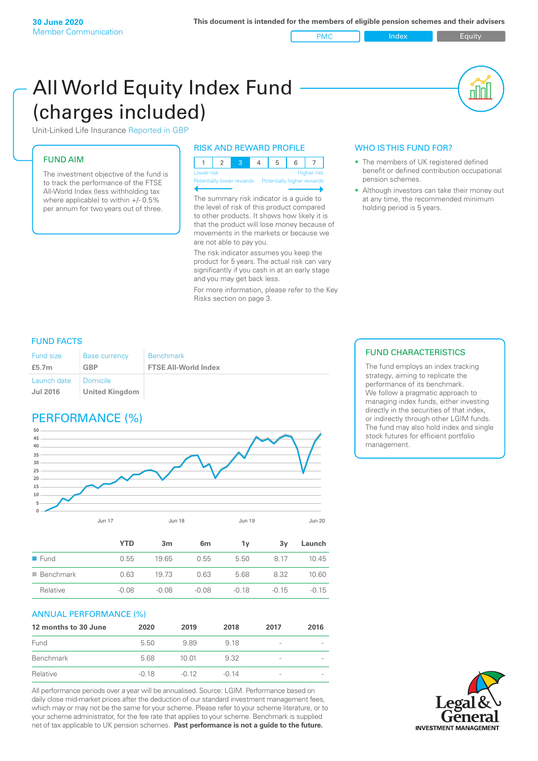PMC Index Index Equity

# All World Equity Index Fund (charges included)

Unit-Linked Life Insurance Reported in GBP

## FUND AIM

The investment objective of the fund is to track the performance of the FTSE All-World Index (less withholding tax where applicable) to within +/- 0.5% per annum for two years out of three.

#### RISK AND REWARD PROFILE

| Lower risk |  |  | <b>Higher risk</b> |
|------------|--|--|--------------------|

Potentially lower rewards Potentially higher rewards

The summary risk indicator is a guide to the level of risk of this product compared to other products. It shows how likely it is that the product will lose money because of movements in the markets or because we are not able to pay you.

The risk indicator assumes you keep the product for 5 years. The actual risk can vary significantly if you cash in at an early stage and you may get back less.

For more information, please refer to the Key Risks section on page 3.

#### WHO IS THIS FUND FOR?

- The members of UK registered defined benefit or defined contribution occupational pension schemes.
- Although investors can take their money out at any time, the recommended minimum holding period is 5 years.

#### FUND FACTS

| <b>Fund size</b>               | <b>Base currency</b>                | <b>Benchmark</b>            |
|--------------------------------|-------------------------------------|-----------------------------|
| £5.7 $m$                       | <b>GBP</b>                          | <b>FTSE All-World Index</b> |
| Launch date<br><b>Jul 2016</b> | l Domicile<br><b>United Kingdom</b> |                             |

# PERFORMANCE (%)



|                          | <b>YTD</b> | 3m      | 6 <sub>m</sub> | 1v      | 3v      | Launch  |
|--------------------------|------------|---------|----------------|---------|---------|---------|
| $\blacksquare$ Fund      | 0.55       | 19.65   | 0.55           | 5.50    | 8.17    | 10.45   |
| $\blacksquare$ Benchmark | 0.63       | 19 73   | 0.63           | 5.68    | 8.32    | 10.60   |
| Relative                 | $-0.08$    | $-0.08$ | $-0.08$        | $-0.18$ | $-0.15$ | $-0.15$ |
|                          |            |         |                |         |         |         |

#### ANNUAL PERFORMANCE (%)

| 12 months to 30 June | 2020    | 2019    | 2018    | 2017                     | 2016 |
|----------------------|---------|---------|---------|--------------------------|------|
| Fund                 | 5.50    | 989     | 9.18    | $\overline{\phantom{a}}$ |      |
| Benchmark            | 5.68    | 1001    | 932     | $\qquad \qquad$          |      |
| Relative             | $-0.18$ | $-0.12$ | $-0.14$ | $\overline{\phantom{a}}$ |      |

All performance periods over a year will be annualised. Source: LGIM. Performance based on daily close mid-market prices after the deduction of our standard investment management fees, which may or may not be the same for your scheme. Please refer to your scheme literature, or to your scheme administrator, for the fee rate that applies to your scheme. Benchmark is supplied net of tax applicable to UK pension schemes. **Past performance is not a guide to the future.**

### FUND CHARACTERISTICS

The fund employs an index tracking strategy, aiming to replicate the performance of its benchmark. We follow a pragmatic approach to managing index funds, either investing directly in the securities of that index, or indirectly through other LGIM funds. The fund may also hold index and single stock futures for efficient portfolio management.

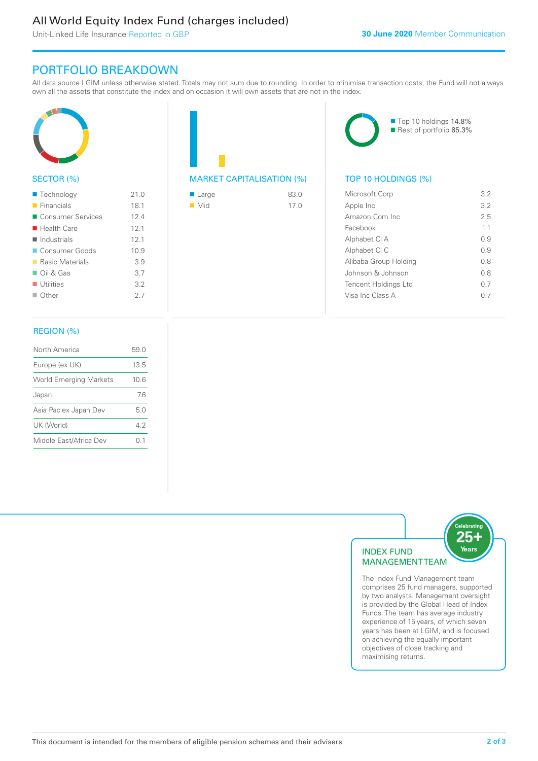# All World Equity Index Fund (charges included)

Unit-Linked Life Insurance Reported in GBP

## PORTFOLIO BREAKDOWN

All data source LGIM unless otherwise stated. Totals may not sum due to rounding. In order to minimise transaction costs, the Fund will not always own all the assets that constitute the index and on occasion it will own assets that are not in the index.



#### SECTOR (%)

| $\blacksquare$ Technology  | 21.0 |
|----------------------------|------|
| $\blacksquare$ Financials  | 18.1 |
| ■ Consumer Services        | 124  |
| $\blacksquare$ Health Care | 12.1 |
| $\blacksquare$ Industrials | 12.1 |
| Consumer Goods             | 10.9 |
| ■ Basic Materials          | 3.9  |
| $\Box$ Oil & Gas           | 3.7  |
| $\blacksquare$ Utilities   | 3.2  |
| $\Box$ Other               | 2.7  |
|                            |      |

### REGION (%)

| North America                 | 59.0   |
|-------------------------------|--------|
| Europe (ex UK)                | 13.5   |
| <b>World Emerging Markets</b> | 10.6   |
| Japan                         | 76     |
| Asia Pac ex Japan Dev         | 5.0    |
| UK (World)                    | 42     |
| Middle East/Africa Dev        | (0, 1) |
|                               |        |

# MARKET CAPITALISATION (%) TOP 10 HOLDINGS (%)

| $\blacksquare$ Large | 83.0 |
|----------------------|------|
| $\blacksquare$ Mid   | 17.0 |



| Microsoft Corp        | 3.2 |
|-----------------------|-----|
| Apple Inc             | 3.2 |
| Amazon Com Inc.       | 2.5 |
| Facebook              | 11  |
| Alphabet CI A         | O 9 |
| Alphabet CI C         | O 9 |
| Alibaba Group Holding | 0 S |
| Johnson & Johnson     | 0 S |
| Tencent Holdings Ltd  | 0 7 |
| Visa Inc Class A      |     |
|                       |     |



comprises 25 fund managers, supported by two analysts. Management oversight is provided by the Global Head of Index Funds. The team has average industry experience of 15 years, of which seven years has been at LGIM, and is focused on achieving the equally important objectives of close tracking and maximising returns.